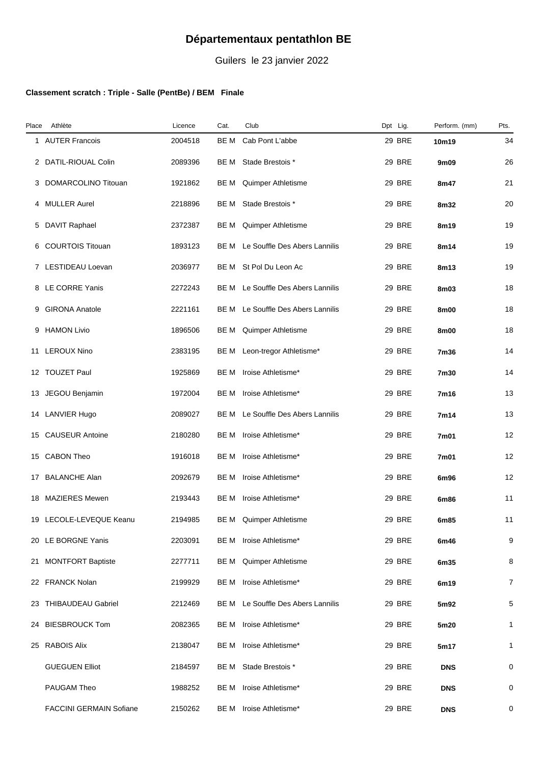## **Départementaux pentathlon BE**

Guilers le 23 janvier 2022

## **Classement scratch : Triple - Salle (PentBe) / BEM Finale**

| Place | Athlète                        | Licence | Cat. | Club                          | Dpt Lig.      | Perform. (mm) | Pts.           |
|-------|--------------------------------|---------|------|-------------------------------|---------------|---------------|----------------|
|       | 1 AUTER Francois               | 2004518 | BE M | Cab Pont L'abbe               | <b>29 BRE</b> | 10m19         | 34             |
|       | 2 DATIL-RIOUAL Colin           | 2089396 | BE M | Stade Brestois *              | <b>29 BRE</b> | 9m09          | 26             |
|       | 3 DOMARCOLINO Titouan          | 1921862 | BE M | Quimper Athletisme            | 29 BRE        | 8m47          | 21             |
| 4     | <b>MULLER Aurel</b>            | 2218896 | BE M | Stade Brestois *              | <b>29 BRE</b> | 8m32          | 20             |
|       | 5 DAVIT Raphael                | 2372387 | BE M | Quimper Athletisme            | <b>29 BRE</b> | 8m19          | 19             |
| 6     | <b>COURTOIS Titouan</b>        | 1893123 | BE M | Le Souffle Des Abers Lannilis | 29 BRE        | 8m14          | 19             |
|       | 7 LESTIDEAU Loevan             | 2036977 | BE M | St Pol Du Leon Ac             | 29 BRE        | 8m13          | 19             |
|       | 8 LE CORRE Yanis               | 2272243 | BE M | Le Souffle Des Abers Lannilis | 29 BRE        | 8m03          | 18             |
| 9     | <b>GIRONA Anatole</b>          | 2221161 | BE M | Le Souffle Des Abers Lannilis | <b>29 BRE</b> | 8m00          | 18             |
| 9     | <b>HAMON Livio</b>             | 1896506 | BE M | Quimper Athletisme            | <b>29 BRE</b> | 8m00          | 18             |
|       | 11 LEROUX Nino                 | 2383195 | BE M | Leon-tregor Athletisme*       | 29 BRE        | 7m36          | 14             |
|       | 12 TOUZET Paul                 | 1925869 | BE M | Iroise Athletisme*            | 29 BRE        | 7m30          | 14             |
|       | 13 JEGOU Benjamin              | 1972004 | BE M | Iroise Athletisme*            | 29 BRE        | 7m16          | 13             |
|       | 14 LANVIER Hugo                | 2089027 | BE M | Le Souffle Des Abers Lannilis | 29 BRE        | 7m14          | 13             |
|       | 15 CAUSEUR Antoine             | 2180280 | BE M | Iroise Athletisme*            | 29 BRE        | 7m01          | 12             |
|       | 15 CABON Theo                  | 1916018 | BE M | Iroise Athletisme*            | <b>29 BRE</b> | 7m01          | 12             |
|       | 17 BALANCHE Alan               | 2092679 | BE M | Iroise Athletisme*            | <b>29 BRE</b> | 6m96          | 12             |
|       | 18 MAZIERES Mewen              | 2193443 | BE M | Iroise Athletisme*            | <b>29 BRE</b> | 6m86          | 11             |
|       | 19 LECOLE-LEVEQUE Keanu        | 2194985 | BE M | Quimper Athletisme            | 29 BRE        | 6m85          | 11             |
|       | 20 LE BORGNE Yanis             | 2203091 | BE M | Iroise Athletisme*            | 29 BRE        | 6m46          | 9              |
|       | 21 MONTFORT Baptiste           | 2277711 | BE M | Quimper Athletisme            | <b>29 BRE</b> | 6m35          | 8              |
|       | 22 FRANCK Nolan                | 2199929 | BE M | Iroise Athletisme*            | <b>29 BRE</b> | 6m19          | $\overline{7}$ |
|       | 23 THIBAUDEAU Gabriel          | 2212469 | BE M | Le Souffle Des Abers Lannilis | <b>29 BRE</b> | 5m92          | 5              |
|       | 24 BIESBROUCK Tom              | 2082365 | BE M | Iroise Athletisme*            | 29 BRE        | 5m20          | $\mathbf{1}$   |
|       | 25 RABOIS Alix                 | 2138047 | BE M | Iroise Athletisme*            | <b>29 BRE</b> | 5m17          | $\mathbf{1}$   |
|       | <b>GUEGUEN Elliot</b>          | 2184597 | BE M | Stade Brestois *              | <b>29 BRE</b> | <b>DNS</b>    | 0              |
|       | PAUGAM Theo                    | 1988252 | BE M | Iroise Athletisme*            | <b>29 BRE</b> | <b>DNS</b>    | 0              |
|       | <b>FACCINI GERMAIN Sofiane</b> | 2150262 | BE M | Iroise Athletisme*            | 29 BRE        | <b>DNS</b>    | 0              |